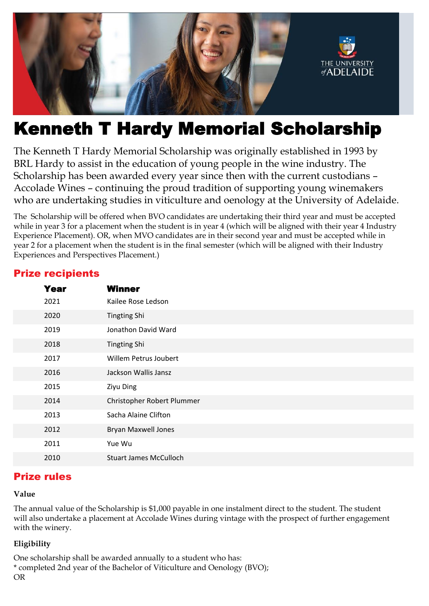

# Kenneth T Hardy Memorial Scholarship

The Kenneth T Hardy Memorial Scholarship was originally established in 1993 by BRL Hardy to assist in the education of young people in the wine industry. The Scholarship has been awarded every year since then with the current custodians – Accolade Wines – continuing the proud tradition of supporting young winemakers who are undertaking studies in viticulture and oenology at the University of Adelaide.

The Scholarship will be offered when BVO candidates are undertaking their third year and must be accepted while in year 3 for a placement when the student is in year 4 (which will be aligned with their year 4 Industry Experience Placement). OR, when MVO candidates are in their second year and must be accepted while in year 2 for a placement when the student is in the final semester (which will be aligned with their Industry Experiences and Perspectives Placement.)

| <b>Year</b> | <b>Winner</b>                 |
|-------------|-------------------------------|
| 2021        | Kailee Rose Ledson            |
| 2020        | <b>Tingting Shi</b>           |
| 2019        | Jonathon David Ward           |
| 2018        | <b>Tingting Shi</b>           |
| 2017        | Willem Petrus Joubert         |
| 2016        | Jackson Wallis Jansz          |
| 2015        | <b>Ziyu Ding</b>              |
| 2014        | Christopher Robert Plummer    |
| 2013        | Sacha Alaine Clifton          |
| 2012        | <b>Bryan Maxwell Jones</b>    |
| 2011        | Yue Wu                        |
| 2010        | <b>Stuart James McCulloch</b> |

## Prize recipients

# Prize rules

#### **Value**

The annual value of the Scholarship is \$1,000 payable in one instalment direct to the student. The student will also undertake a placement at Accolade Wines during vintage with the prospect of further engagement with the winery.

## **Eligibility**

One scholarship shall be awarded annually to a student who has: \* completed 2nd year of the Bachelor of Viticulture and Oenology (BVO); OR